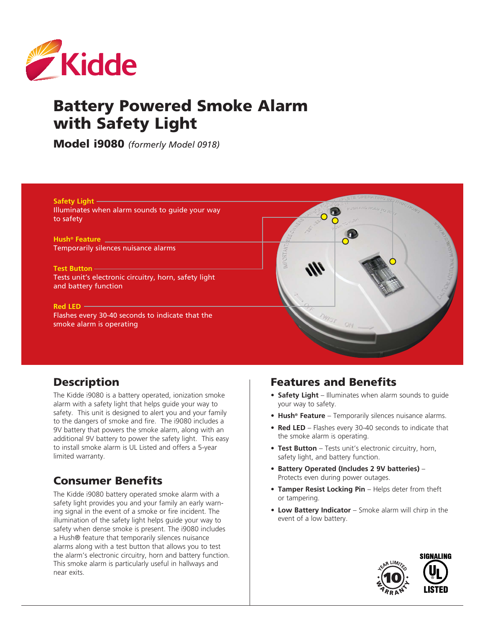

# Battery Powered Smoke Alarm with Safety Light

Model i9080 *(formerly Model 0918)*



# Description

The Kidde i9080 is a battery operated, ionization smoke alarm with a safety light that helps guide your way to safety. This unit is designed to alert you and your family to the dangers of smoke and fire. The i9080 includes a 9V battery that powers the smoke alarm, along with an additional 9V battery to power the safety light. This easy to install smoke alarm is UL Listed and offers a 5-year limited warranty.

# Consumer Benefits

The Kidde i9080 battery operated smoke alarm with a safety light provides you and your family an early warning signal in the event of a smoke or fire incident. The illumination of the safety light helps guide your way to safety when dense smoke is present. The i9080 includes a Hush® feature that temporarily silences nuisance alarms along with a test button that allows you to test the alarm's electronic circuitry, horn and battery function. This smoke alarm is particularly useful in hallways and near exits.

#### Features and Benefits

- **• Safety Light** Illuminates when alarm sounds to guide your way to safety.
- **• Hush® Feature** Temporarily silences nuisance alarms.
- **• Red LED** Flashes every 30-40 seconds to indicate that the smoke alarm is operating.
- **• Test Button** Tests unit's electronic circuitry, horn, safety light, and battery function.
- **• Battery Operated (Includes 2 9V batteries)** Protects even during power outages.
- **• Tamper Resist Locking Pin** Helps deter from theft or tampering.
- **• Low Battery Indicator** Smoke alarm will chirp in the event of a low battery.